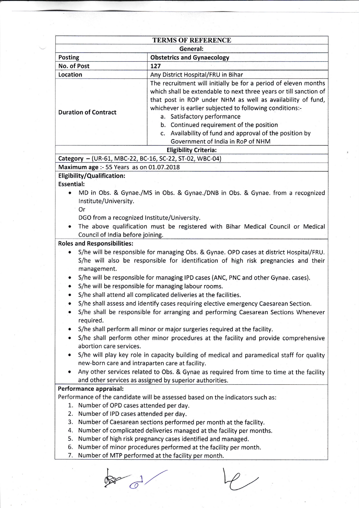| <b>TERMS OF REFERENCE</b>                               |                                                                                                                                                                                                                                                                                                                                            |
|---------------------------------------------------------|--------------------------------------------------------------------------------------------------------------------------------------------------------------------------------------------------------------------------------------------------------------------------------------------------------------------------------------------|
|                                                         | General:                                                                                                                                                                                                                                                                                                                                   |
| <b>Posting</b>                                          | <b>Obstetrics and Gynaecology</b><br>127                                                                                                                                                                                                                                                                                                   |
| No. of Post                                             |                                                                                                                                                                                                                                                                                                                                            |
| Location                                                | Any District Hospital/FRU in Bihar                                                                                                                                                                                                                                                                                                         |
| <b>Duration of Contract</b>                             | The recruitment will initially be for a period of eleven months<br>which shall be extendable to next three years or till sanction of<br>that post in ROP under NHM as well as availability of fund,<br>whichever is earlier subjected to following conditions:-<br>a. Satisfactory performance<br>b. Continued requirement of the position |
|                                                         | c. Availability of fund and approval of the position by<br>Government of India in RoP of NHM                                                                                                                                                                                                                                               |
|                                                         | <b>Eligibility Criteria:</b>                                                                                                                                                                                                                                                                                                               |
| Category - (UR-61, MBC-22, BC-16, SC-22, ST-02, WBC-04) |                                                                                                                                                                                                                                                                                                                                            |
| Maximum age :- 55 Years as on 01.07.2018                |                                                                                                                                                                                                                                                                                                                                            |
| Eligibility/Qualification:                              |                                                                                                                                                                                                                                                                                                                                            |
| <b>Essential:</b>                                       |                                                                                                                                                                                                                                                                                                                                            |
| Institute/University.<br>Or                             | MD in Obs. & Gynae./MS in Obs. & Gynae./DNB in Obs. & Gynae. from a recognized                                                                                                                                                                                                                                                             |
| DGO from a recognized Institute/University.             |                                                                                                                                                                                                                                                                                                                                            |
| Council of India before joining.                        | The above qualification must be registered with Bihar Medical Council or Medical                                                                                                                                                                                                                                                           |
| <b>Roles and Responsibilities:</b>                      |                                                                                                                                                                                                                                                                                                                                            |
| ۰<br>management.                                        | S/he will be responsible for managing Obs. & Gynae. OPD cases at district Hospital/FRU.<br>S/he will also be responsible for identification of high risk pregnancies and their                                                                                                                                                             |
|                                                         | S/he will be responsible for managing IPD cases (ANC, PNC and other Gynae. cases).<br>S/he will be responsible for managing labour rooms.                                                                                                                                                                                                  |
|                                                         | S/he shall attend all complicated deliveries at the facilities.<br>S/he shall assess and identify cases requiring elective emergency Caesarean Section.<br>S/he shall be responsible for arranging and performing Caesarean Sections Whenever                                                                                              |
| required.                                               |                                                                                                                                                                                                                                                                                                                                            |
| abortion care services.                                 | S/he shall perform all minor or major surgeries required at the facility.<br>S/he shall perform other minor procedures at the facility and provide comprehensive                                                                                                                                                                           |
|                                                         | S/he will play key role in capacity building of medical and paramedical staff for quality<br>new-born care and intraparten care at facility.                                                                                                                                                                                               |
|                                                         | Any other services related to Obs. & Gynae as required from time to time at the facility<br>and other services as assigned by superior authorities.                                                                                                                                                                                        |
| Performance appraisal:                                  |                                                                                                                                                                                                                                                                                                                                            |
|                                                         | Performance of the candidate will be assessed based on the indicators such as:                                                                                                                                                                                                                                                             |
| 1. Number of OPD cases attended per day.                |                                                                                                                                                                                                                                                                                                                                            |
| 2. Number of IPD cases attended per day.                |                                                                                                                                                                                                                                                                                                                                            |
| 3.                                                      | Number of Caesarean sections performed per month at the facility.                                                                                                                                                                                                                                                                          |
| 4.                                                      | Number of complicated deliveries managed at the facility per months.                                                                                                                                                                                                                                                                       |
| 5.                                                      | Number of high risk pregnancy cases identified and managed.                                                                                                                                                                                                                                                                                |
| 6.                                                      | Number of minor procedures performed at the facility per month.                                                                                                                                                                                                                                                                            |
| 7.                                                      | Number of MTP performed at the facility per month.                                                                                                                                                                                                                                                                                         |

 $\oint d\theta$ 

 $\overline{\mathscr{P}}$  ,